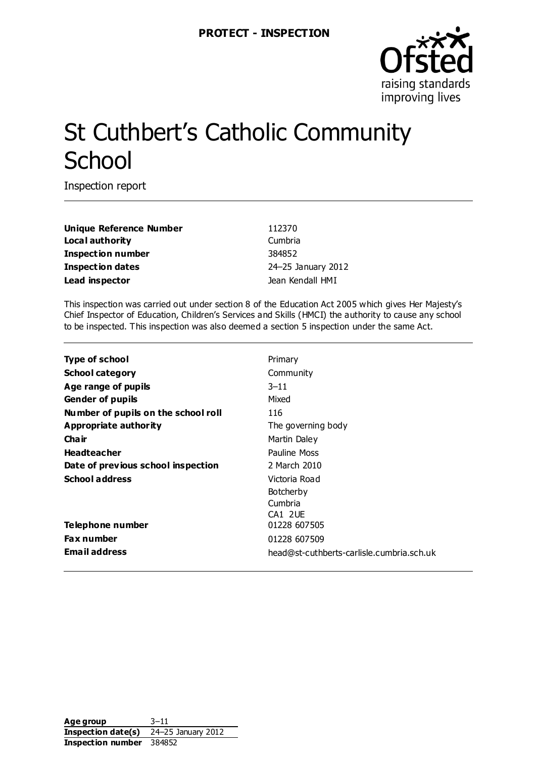

# St Cuthbert's Catholic Community **School**

Inspection report

**Unique Reference Number** 112370 **Local authority** Cumbria **Inspection number** 384852 **Inspection dates** 24–25 January 2012 Lead inspector and the set of the set of the set of the set of the set of the set of the set of the set of the set of the set of the set of the set of the set of the set of the set of the set of the set of the set of the s

This inspection was carried out under section 8 of the Education Act 2005 which gives Her Majesty's Chief Inspector of Education, Children's Services and Skills (HMCI) the authority to cause any school to be inspected. This inspection was also deemed a section 5 inspection under the same Act.

| Type of school                      | Primary                                   |
|-------------------------------------|-------------------------------------------|
| <b>School category</b>              | Community                                 |
| Age range of pupils                 | $3 - 11$                                  |
| <b>Gender of pupils</b>             | Mixed                                     |
| Number of pupils on the school roll | 116                                       |
| <b>Appropriate authority</b>        | The governing body                        |
| Cha ir                              | Martin Daley                              |
| <b>Headteacher</b>                  | Pauline Moss                              |
| Date of previous school inspection  | 2 March 2010                              |
| <b>School address</b>               | Victoria Road                             |
|                                     | <b>Botcherby</b>                          |
|                                     | Cumbria                                   |
|                                     | CA1 2UE                                   |
| Telephone number                    | 01228 607505                              |
| <b>Fax number</b>                   | 01228 607509                              |
| Email address                       | head@st-cuthberts-carlisle.cumbria.sch.uk |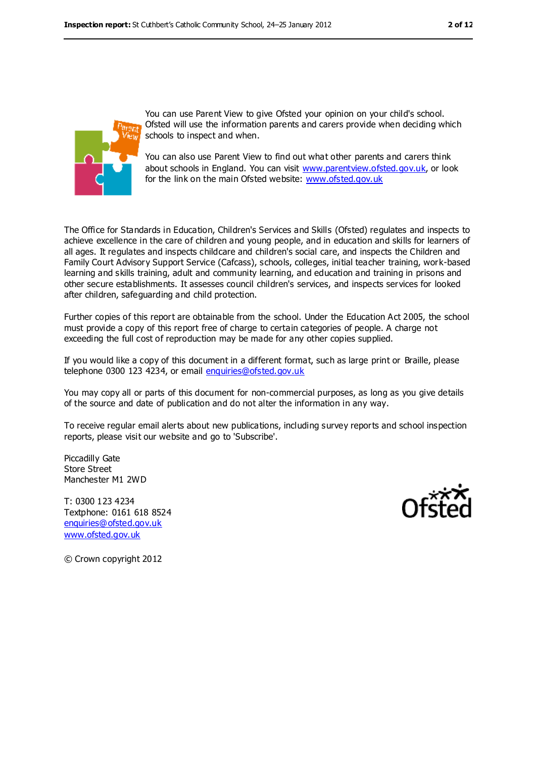

You can use Parent View to give Ofsted your opinion on your child's school. Ofsted will use the information parents and carers provide when deciding which schools to inspect and when.

You can also use Parent View to find out what other parents and carers think about schools in England. You can visit [www.parentview.ofsted.gov.uk,](../../../AppData/Local/Microsoft/Windows/AppData/Local/Microsoft/Windows/AppData/Local/Microsoft/Windows/Temporary%20Internet%20Files/Content.IE5/1SMG2M53/www.parentview.ofsted.gov.uk) or look for the link on the main Ofsted website: [www.ofsted.gov.uk](../../../AppData/Local/Microsoft/Windows/AppData/Local/Microsoft/Windows/AppData/Local/Microsoft/Windows/Temporary%20Internet%20Files/Content.IE5/1SMG2M53/www.ofsted.gov.uk)

The Office for Standards in Education, Children's Services and Skills (Ofsted) regulates and inspects to achieve excellence in the care of children and young people, and in education and skills for learners of all ages. It regulates and inspects childcare and children's social care, and inspects the Children and Family Court Advisory Support Service (Cafcass), schools, colleges, initial teacher training, work-based learning and skills training, adult and community learning, and education and training in prisons and other secure establishments. It assesses council children's services, and inspects services for looked after children, safeguarding and child protection.

Further copies of this report are obtainable from the school. Under the Education Act 2005, the school must provide a copy of this report free of charge to certain categories of people. A charge not exceeding the full cost of reproduction may be made for any other copies supplied.

If you would like a copy of this document in a different format, such as large print or Braille, please telephone 0300 123 4234, or email [enquiries@ofsted.gov.uk](mailto:enquiries@ofsted.gov.uk)

You may copy all or parts of this document for non-commercial purposes, as long as you give details of the source and date of publication and do not alter the information in any way.

To receive regular email alerts about new publications, including survey reports and school inspection reports, please visit our website and go to 'Subscribe'.

Piccadilly Gate Store Street Manchester M1 2WD

T: 0300 123 4234 Textphone: 0161 618 8524 [enquiries@ofsted.gov.uk](mailto:enquiries@ofsted.gov.uk) [www.ofsted.gov.uk](http://www.ofsted.gov.uk/)



© Crown copyright 2012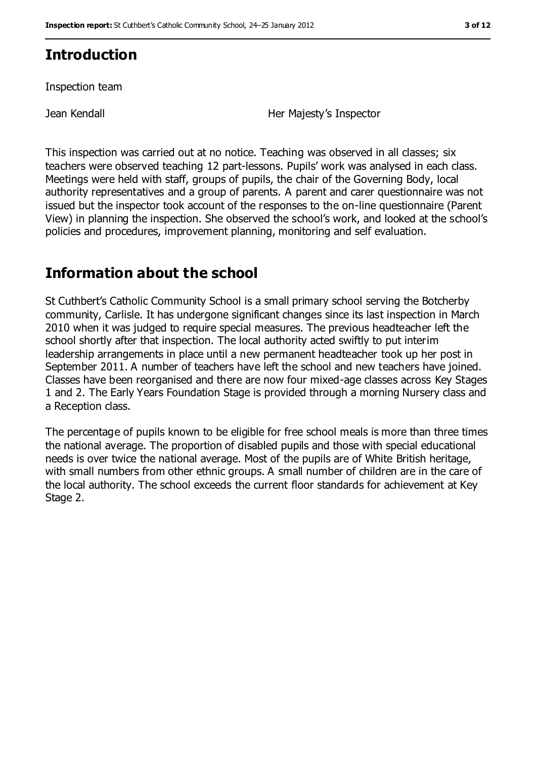## **Introduction**

Inspection team

Jean Kendall **Her Majesty's Inspector** 

This inspection was carried out at no notice. Teaching was observed in all classes; six teachers were observed teaching 12 part-lessons. Pupils' work was analysed in each class. Meetings were held with staff, groups of pupils, the chair of the Governing Body, local authority representatives and a group of parents. A parent and carer questionnaire was not issued but the inspector took account of the responses to the on-line questionnaire (Parent View) in planning the inspection. She observed the school's work, and looked at the school's policies and procedures, improvement planning, monitoring and self evaluation.

## **Information about the school**

St Cuthbert's Catholic Community School is a small primary school serving the Botcherby community, Carlisle. It has undergone significant changes since its last inspection in March 2010 when it was judged to require special measures. The previous headteacher left the school shortly after that inspection. The local authority acted swiftly to put interim leadership arrangements in place until a new permanent headteacher took up her post in September 2011. A number of teachers have left the school and new teachers have joined. Classes have been reorganised and there are now four mixed-age classes across Key Stages 1 and 2. The Early Years Foundation Stage is provided through a morning Nursery class and a Reception class.

The percentage of pupils known to be eligible for free school meals is more than three times the national average. The proportion of disabled pupils and those with special educational needs is over twice the national average. Most of the pupils are of White British heritage, with small numbers from other ethnic groups. A small number of children are in the care of the local authority. The school exceeds the current floor standards for achievement at Key Stage 2.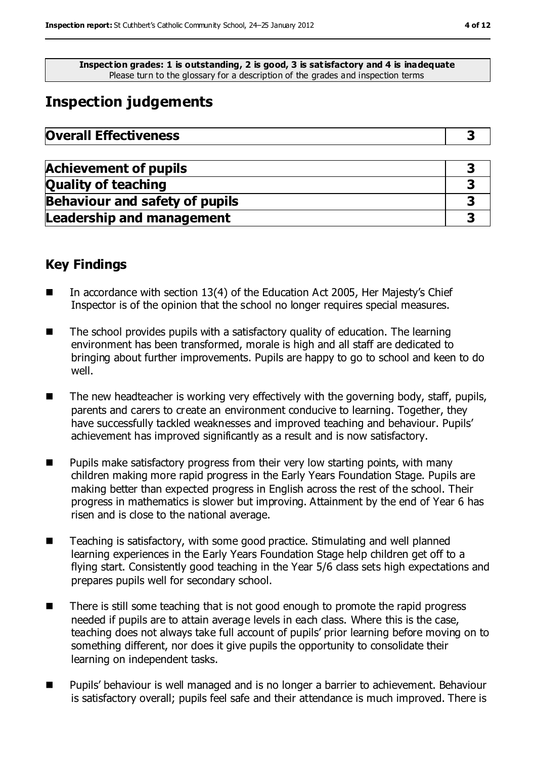**Inspection grades: 1 is outstanding, 2 is good, 3 is satisfactory and 4 is inadequate** Please turn to the glossary for a description of the grades and inspection terms

## **Inspection judgements**

| <b>Overall Effectiveness</b> |  |
|------------------------------|--|
|------------------------------|--|

| <b>Achievement of pupils</b>          |  |
|---------------------------------------|--|
| <b>Quality of teaching</b>            |  |
| <b>Behaviour and safety of pupils</b> |  |
| <b>Leadership and management</b>      |  |

### **Key Findings**

- In accordance with section 13(4) of the Education Act 2005, Her Majesty's Chief Inspector is of the opinion that the school no longer requires special measures.
- The school provides pupils with a satisfactory quality of education. The learning environment has been transformed, morale is high and all staff are dedicated to bringing about further improvements. Pupils are happy to go to school and keen to do well.
- The new headteacher is working very effectively with the governing body, staff, pupils, parents and carers to create an environment conducive to learning. Together, they have successfully tackled weaknesses and improved teaching and behaviour. Pupils' achievement has improved significantly as a result and is now satisfactory.
- Pupils make satisfactory progress from their very low starting points, with many children making more rapid progress in the Early Years Foundation Stage. Pupils are making better than expected progress in English across the rest of the school. Their progress in mathematics is slower but improving. Attainment by the end of Year 6 has risen and is close to the national average.
- Teaching is satisfactory, with some good practice. Stimulating and well planned learning experiences in the Early Years Foundation Stage help children get off to a flying start. Consistently good teaching in the Year 5/6 class sets high expectations and prepares pupils well for secondary school.
- There is still some teaching that is not good enough to promote the rapid progress needed if pupils are to attain average levels in each class. Where this is the case, teaching does not always take full account of pupils' prior learning before moving on to something different, nor does it give pupils the opportunity to consolidate their learning on independent tasks.
- Pupils' behaviour is well managed and is no longer a barrier to achievement. Behaviour is satisfactory overall; pupils feel safe and their attendance is much improved. There is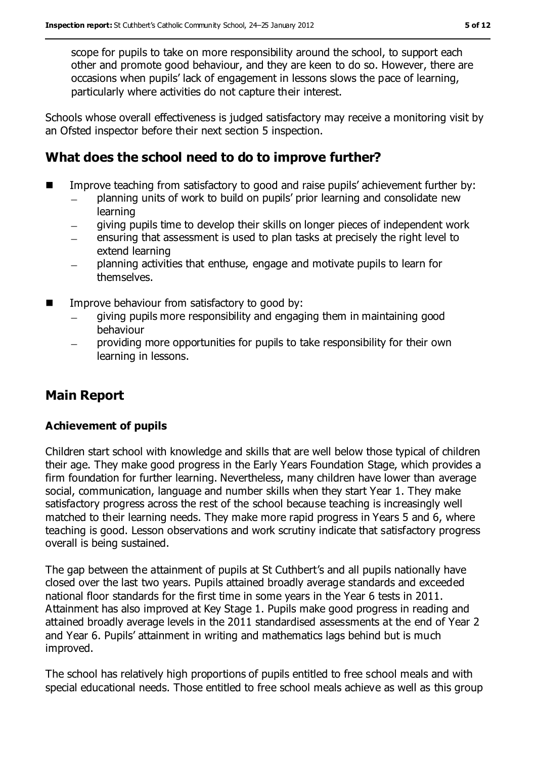scope for pupils to take on more responsibility around the school, to support each other and promote good behaviour, and they are keen to do so. However, there are occasions when pupils' lack of engagement in lessons slows the pace of learning, particularly where activities do not capture their interest.

Schools whose overall effectiveness is judged satisfactory may receive a monitoring visit by an Ofsted inspector before their next section 5 inspection.

## **What does the school need to do to improve further?**

- Improve teaching from satisfactory to good and raise pupils' achievement further by:
	- planning units of work to build on pupils' prior learning and consolidate new  $\overline{\phantom{0}}$ learning
	- giving pupils time to develop their skills on longer pieces of independent work
	- ensuring that assessment is used to plan tasks at precisely the right level to extend learning
	- planning activities that enthuse, engage and motivate pupils to learn for  $\equiv$ themselves.
- **IMPROVE behaviour from satisfactory to good by:** 
	- giving pupils more responsibility and engaging them in maintaining good behaviour
	- providing more opportunities for pupils to take responsibility for their own learning in lessons.

## **Main Report**

#### **Achievement of pupils**

Children start school with knowledge and skills that are well below those typical of children their age. They make good progress in the Early Years Foundation Stage, which provides a firm foundation for further learning. Nevertheless, many children have lower than average social, communication, language and number skills when they start Year 1. They make satisfactory progress across the rest of the school because teaching is increasingly well matched to their learning needs. They make more rapid progress in Years 5 and 6, where teaching is good. Lesson observations and work scrutiny indicate that satisfactory progress overall is being sustained.

The gap between the attainment of pupils at St Cuthbert's and all pupils nationally have closed over the last two years. Pupils attained broadly average standards and exceeded national floor standards for the first time in some years in the Year 6 tests in 2011. Attainment has also improved at Key Stage 1. Pupils make good progress in reading and attained broadly average levels in the 2011 standardised assessments at the end of Year 2 and Year 6. Pupils' attainment in writing and mathematics lags behind but is much improved.

The school has relatively high proportions of pupils entitled to free school meals and with special educational needs. Those entitled to free school meals achieve as well as this group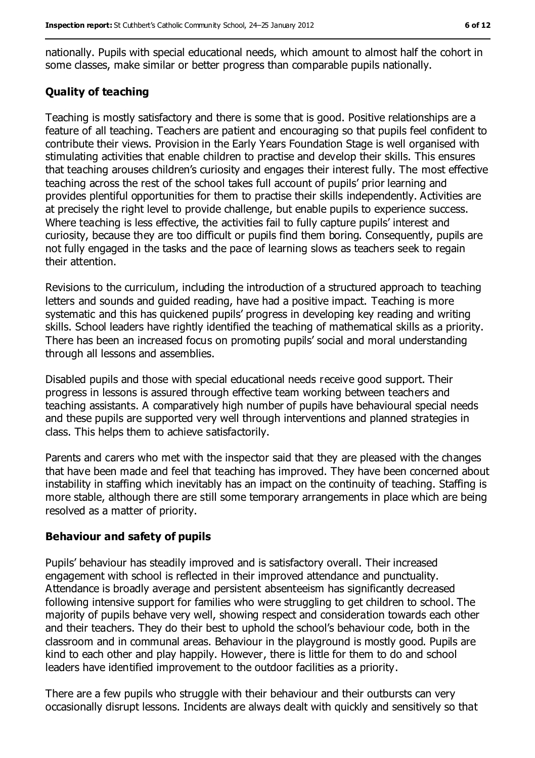nationally. Pupils with special educational needs, which amount to almost half the cohort in some classes, make similar or better progress than comparable pupils nationally.

#### **Quality of teaching**

Teaching is mostly satisfactory and there is some that is good. Positive relationships are a feature of all teaching. Teachers are patient and encouraging so that pupils feel confident to contribute their views. Provision in the Early Years Foundation Stage is well organised with stimulating activities that enable children to practise and develop their skills. This ensures that teaching arouses children's curiosity and engages their interest fully. The most effective teaching across the rest of the school takes full account of pupils' prior learning and provides plentiful opportunities for them to practise their skills independently. Activities are at precisely the right level to provide challenge, but enable pupils to experience success. Where teaching is less effective, the activities fail to fully capture pupils' interest and curiosity, because they are too difficult or pupils find them boring. Consequently, pupils are not fully engaged in the tasks and the pace of learning slows as teachers seek to regain their attention.

Revisions to the curriculum, including the introduction of a structured approach to teaching letters and sounds and guided reading, have had a positive impact. Teaching is more systematic and this has quickened pupils' progress in developing key reading and writing skills. School leaders have rightly identified the teaching of mathematical skills as a priority. There has been an increased focus on promoting pupils' social and moral understanding through all lessons and assemblies.

Disabled pupils and those with special educational needs receive good support. Their progress in lessons is assured through effective team working between teachers and teaching assistants. A comparatively high number of pupils have behavioural special needs and these pupils are supported very well through interventions and planned strategies in class. This helps them to achieve satisfactorily.

Parents and carers who met with the inspector said that they are pleased with the changes that have been made and feel that teaching has improved. They have been concerned about instability in staffing which inevitably has an impact on the continuity of teaching. Staffing is more stable, although there are still some temporary arrangements in place which are being resolved as a matter of priority.

#### **Behaviour and safety of pupils**

Pupils' behaviour has steadily improved and is satisfactory overall. Their increased engagement with school is reflected in their improved attendance and punctuality. Attendance is broadly average and persistent absenteeism has significantly decreased following intensive support for families who were struggling to get children to school. The majority of pupils behave very well, showing respect and consideration towards each other and their teachers. They do their best to uphold the school's behaviour code, both in the classroom and in communal areas. Behaviour in the playground is mostly good. Pupils are kind to each other and play happily. However, there is little for them to do and school leaders have identified improvement to the outdoor facilities as a priority.

There are a few pupils who struggle with their behaviour and their outbursts can very occasionally disrupt lessons. Incidents are always dealt with quickly and sensitively so that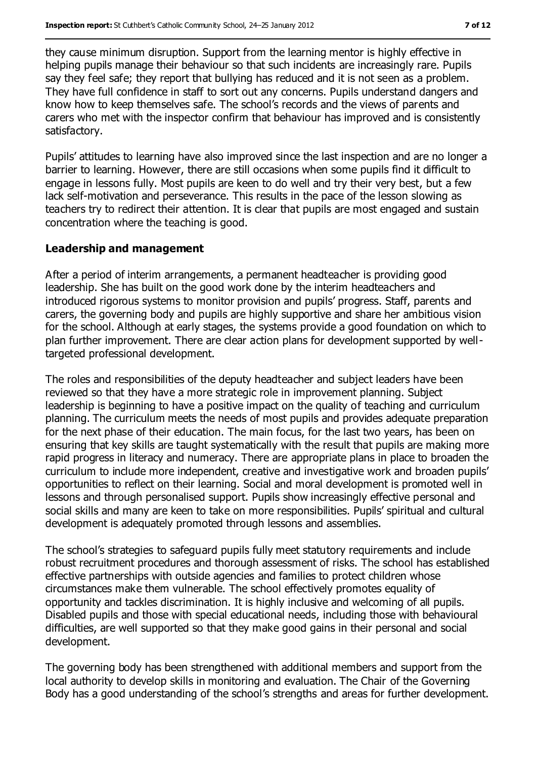they cause minimum disruption. Support from the learning mentor is highly effective in helping pupils manage their behaviour so that such incidents are increasingly rare. Pupils say they feel safe; they report that bullying has reduced and it is not seen as a problem. They have full confidence in staff to sort out any concerns. Pupils understand dangers and know how to keep themselves safe. The school's records and the views of parents and carers who met with the inspector confirm that behaviour has improved and is consistently satisfactory.

Pupils' attitudes to learning have also improved since the last inspection and are no longer a barrier to learning. However, there are still occasions when some pupils find it difficult to engage in lessons fully. Most pupils are keen to do well and try their very best, but a few lack self-motivation and perseverance. This results in the pace of the lesson slowing as teachers try to redirect their attention. It is clear that pupils are most engaged and sustain concentration where the teaching is good.

#### **Leadership and management**

After a period of interim arrangements, a permanent headteacher is providing good leadership. She has built on the good work done by the interim headteachers and introduced rigorous systems to monitor provision and pupils' progress. Staff, parents and carers, the governing body and pupils are highly supportive and share her ambitious vision for the school. Although at early stages, the systems provide a good foundation on which to plan further improvement. There are clear action plans for development supported by welltargeted professional development.

The roles and responsibilities of the deputy headteacher and subject leaders have been reviewed so that they have a more strategic role in improvement planning. Subject leadership is beginning to have a positive impact on the quality of teaching and curriculum planning. The curriculum meets the needs of most pupils and provides adequate preparation for the next phase of their education. The main focus, for the last two years, has been on ensuring that key skills are taught systematically with the result that pupils are making more rapid progress in literacy and numeracy. There are appropriate plans in place to broaden the curriculum to include more independent, creative and investigative work and broaden pupils' opportunities to reflect on their learning. Social and moral development is promoted well in lessons and through personalised support. Pupils show increasingly effective personal and social skills and many are keen to take on more responsibilities. Pupils' spiritual and cultural development is adequately promoted through lessons and assemblies.

The school's strategies to safeguard pupils fully meet statutory requirements and include robust recruitment procedures and thorough assessment of risks. The school has established effective partnerships with outside agencies and families to protect children whose circumstances make them vulnerable. The school effectively promotes equality of opportunity and tackles discrimination. It is highly inclusive and welcoming of all pupils. Disabled pupils and those with special educational needs, including those with behavioural difficulties, are well supported so that they make good gains in their personal and social development.

The governing body has been strengthened with additional members and support from the local authority to develop skills in monitoring and evaluation. The Chair of the Governing Body has a good understanding of the school's strengths and areas for further development.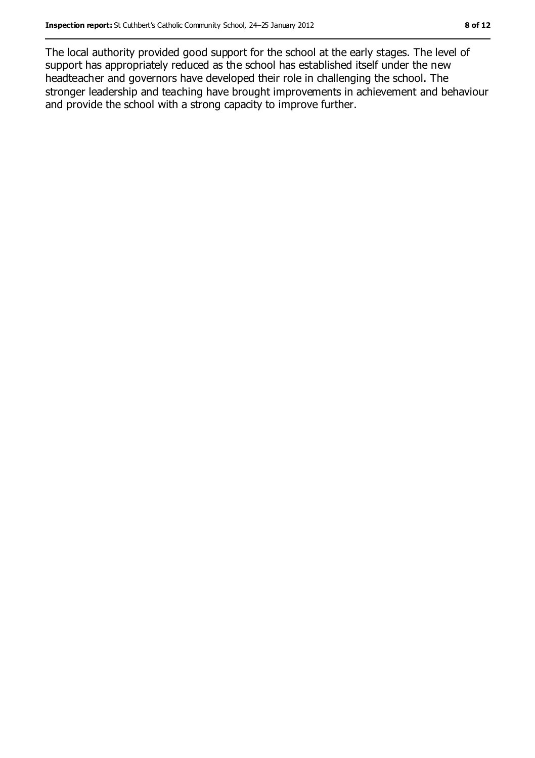The local authority provided good support for the school at the early stages. The level of support has appropriately reduced as the school has established itself under the new headteacher and governors have developed their role in challenging the school. The stronger leadership and teaching have brought improvements in achievement and behaviour and provide the school with a strong capacity to improve further.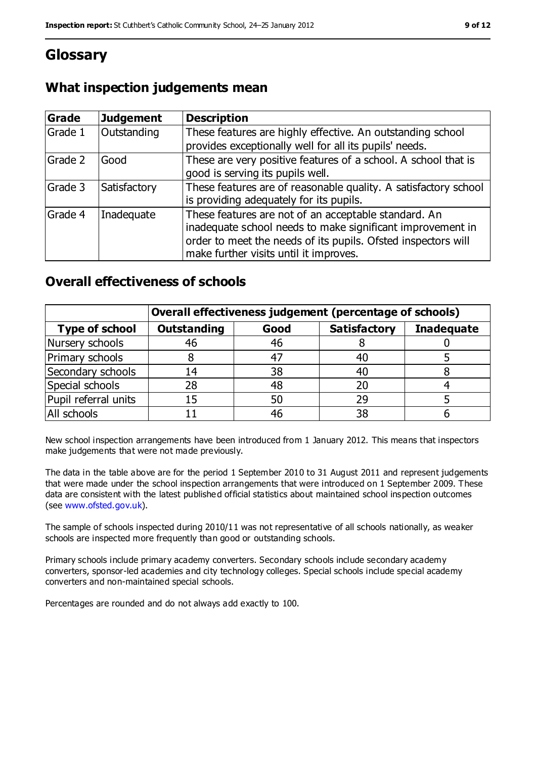## **Glossary**

## **What inspection judgements mean**

| <b>Grade</b> | Judgement    | <b>Description</b>                                                                                                                                                                                                            |
|--------------|--------------|-------------------------------------------------------------------------------------------------------------------------------------------------------------------------------------------------------------------------------|
| Grade 1      | Outstanding  | These features are highly effective. An outstanding school<br>provides exceptionally well for all its pupils' needs.                                                                                                          |
| Grade 2      | Good         | These are very positive features of a school. A school that is<br>good is serving its pupils well.                                                                                                                            |
| Grade 3      | Satisfactory | These features are of reasonable quality. A satisfactory school<br>is providing adequately for its pupils.                                                                                                                    |
| Grade 4      | Inadequate   | These features are not of an acceptable standard. An<br>inadequate school needs to make significant improvement in<br>order to meet the needs of its pupils. Ofsted inspectors will<br>make further visits until it improves. |

### **Overall effectiveness of schools**

|                       | Overall effectiveness judgement (percentage of schools) |      |                     |                   |
|-----------------------|---------------------------------------------------------|------|---------------------|-------------------|
| <b>Type of school</b> | <b>Outstanding</b>                                      | Good | <b>Satisfactory</b> | <b>Inadequate</b> |
| Nursery schools       | 46                                                      | 46   |                     |                   |
| Primary schools       |                                                         | 47   | 40                  |                   |
| Secondary schools     | 14                                                      | 38   | 40                  |                   |
| Special schools       | 28                                                      | 48   | 20                  |                   |
| Pupil referral units  | 15                                                      | 50   | 29                  |                   |
| All schools           |                                                         | 46   | 38                  |                   |

New school inspection arrangements have been introduced from 1 January 2012. This means that inspectors make judgements that were not made previously.

The data in the table above are for the period 1 September 2010 to 31 August 2011 and represent judgements that were made under the school inspection arrangements that were introduced on 1 September 2009. These data are consistent with the latest published official statistics about maintained school inspection outcomes (see [www.ofsted.gov.uk\)](../../../AppData/Local/Microsoft/Windows/AppData/Local/Microsoft/Windows/AppData/Local/Microsoft/Windows/Temporary%20Internet%20Files/Content.IE5/1SMG2M53/www.ofsted.gov.uk).

The sample of schools inspected during 2010/11 was not representative of all schools nationally, as weaker schools are inspected more frequently than good or outstanding schools.

Primary schools include primary academy converters. Secondary schools include secondary academy converters, sponsor-led academies and city technology colleges. Special schools include special academy converters and non-maintained special schools.

Percentages are rounded and do not always add exactly to 100.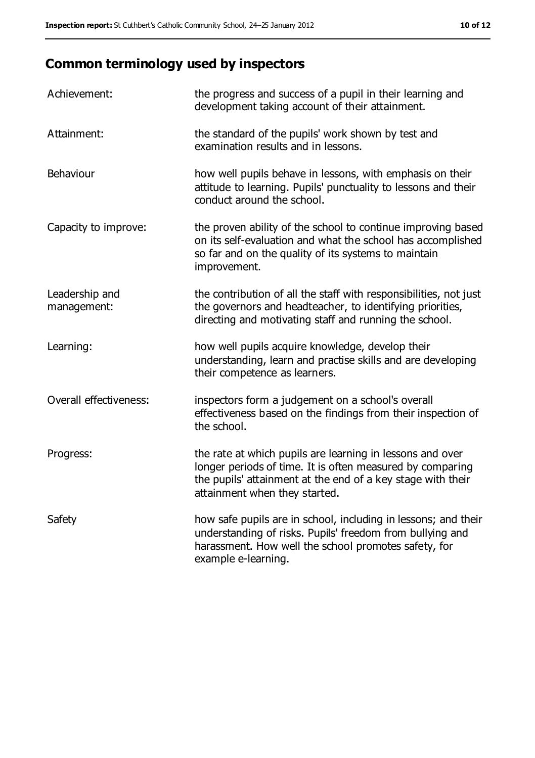## **Common terminology used by inspectors**

| Achievement:                  | the progress and success of a pupil in their learning and<br>development taking account of their attainment.                                                                                                           |
|-------------------------------|------------------------------------------------------------------------------------------------------------------------------------------------------------------------------------------------------------------------|
| Attainment:                   | the standard of the pupils' work shown by test and<br>examination results and in lessons.                                                                                                                              |
| Behaviour                     | how well pupils behave in lessons, with emphasis on their<br>attitude to learning. Pupils' punctuality to lessons and their<br>conduct around the school.                                                              |
| Capacity to improve:          | the proven ability of the school to continue improving based<br>on its self-evaluation and what the school has accomplished<br>so far and on the quality of its systems to maintain<br>improvement.                    |
| Leadership and<br>management: | the contribution of all the staff with responsibilities, not just<br>the governors and headteacher, to identifying priorities,<br>directing and motivating staff and running the school.                               |
| Learning:                     | how well pupils acquire knowledge, develop their<br>understanding, learn and practise skills and are developing<br>their competence as learners.                                                                       |
| Overall effectiveness:        | inspectors form a judgement on a school's overall<br>effectiveness based on the findings from their inspection of<br>the school.                                                                                       |
| Progress:                     | the rate at which pupils are learning in lessons and over<br>longer periods of time. It is often measured by comparing<br>the pupils' attainment at the end of a key stage with their<br>attainment when they started. |
| Safety                        | how safe pupils are in school, including in lessons; and their<br>understanding of risks. Pupils' freedom from bullying and<br>harassment. How well the school promotes safety, for<br>example e-learning.             |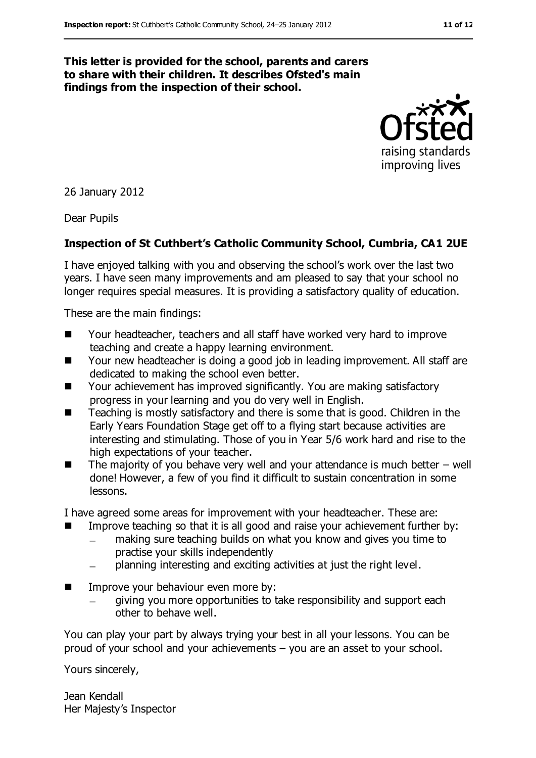#### **This letter is provided for the school, parents and carers to share with their children. It describes Ofsted's main findings from the inspection of their school.**

raising standards improving lives

26 January 2012

Dear Pupils

#### **Inspection of St Cuthbert's Catholic Community School, Cumbria, CA1 2UE**

I have enjoyed talking with you and observing the school's work over the last two years. I have seen many improvements and am pleased to say that your school no longer requires special measures. It is providing a satisfactory quality of education.

These are the main findings:

- Your headteacher, teachers and all staff have worked very hard to improve teaching and create a happy learning environment.
- Your new headteacher is doing a good job in leading improvement. All staff are dedicated to making the school even better.
- Your achievement has improved significantly. You are making satisfactory progress in your learning and you do very well in English.
- Teaching is mostly satisfactory and there is some that is good. Children in the Early Years Foundation Stage get off to a flying start because activities are interesting and stimulating. Those of you in Year 5/6 work hard and rise to the high expectations of your teacher.
- $\blacksquare$  The majority of you behave very well and your attendance is much better well done! However, a few of you find it difficult to sustain concentration in some lessons.

I have agreed some areas for improvement with your headteacher. These are:

- **IMPROVE THE SOUT ASSET IS A** good and raise your achievement further by:
	- making sure teaching builds on what you know and gives you time to practise your skills independently
	- planning interesting and exciting activities at just the right level.
- **IMPROVE YOUR DEPENSION EVER MOVE BY:** 
	- giving you more opportunities to take responsibility and support each other to behave well.

You can play your part by always trying your best in all your lessons. You can be proud of your school and your achievements – you are an asset to your school.

Yours sincerely,

Jean Kendall Her Majesty's Inspector